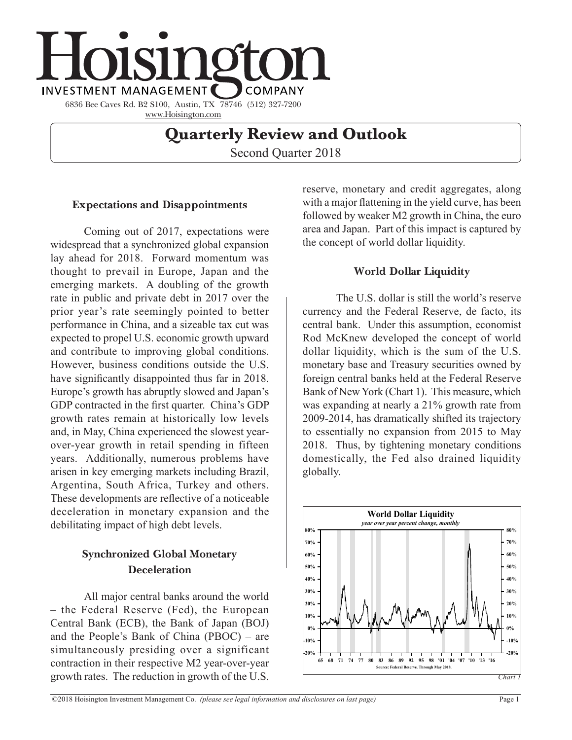

# **Quarterly Review and Outlook**

Second Quarter 2018

### **Expectations and Disappointments**

Coming out of 2017, expectations were widespread that a synchronized global expansion lay ahead for 2018. Forward momentum was thought to prevail in Europe, Japan and the emerging markets. A doubling of the growth rate in public and private debt in 2017 over the prior year's rate seemingly pointed to better performance in China, and a sizeable tax cut was expected to propel U.S. economic growth upward and contribute to improving global conditions. However, business conditions outside the U.S. have significantly disappointed thus far in 2018. Europe's growth has abruptly slowed and Japan's GDP contracted in the first quarter. China's GDP growth rates remain at historically low levels and, in May, China experienced the slowest yearover-year growth in retail spending in fifteen years. Additionally, numerous problems have arisen in key emerging markets including Brazil, Argentina, South Africa, Turkey and others. These developments are reflective of a noticeable deceleration in monetary expansion and the debilitating impact of high debt levels.

## **Synchronized Global Monetary Deceleration**

All major central banks around the world – the Federal Reserve (Fed), the European Central Bank (ECB), the Bank of Japan (BOJ) and the People's Bank of China (PBOC) – are simultaneously presiding over a significant contraction in their respective M2 year-over-year growth rates. The reduction in growth of the U.S.

reserve, monetary and credit aggregates, along with a major flattening in the yield curve, has been followed by weaker M2 growth in China, the euro area and Japan. Part of this impact is captured by the concept of world dollar liquidity.

## **World Dollar Liquidity**

The U.S. dollar is still the world's reserve currency and the Federal Reserve, de facto, its central bank. Under this assumption, economist Rod McKnew developed the concept of world dollar liquidity, which is the sum of the U.S. monetary base and Treasury securities owned by foreign central banks held at the Federal Reserve Bank of New York (Chart 1). This measure, which was expanding at nearly a 21% growth rate from 2009-2014, has dramatically shifted its trajectory to essentially no expansion from 2015 to May 2018. Thus, by tightening monetary conditions domestically, the Fed also drained liquidity globally.



©2018 Hoisington Investment Management Co. *(please see legal information and disclosures on last page)* Page 1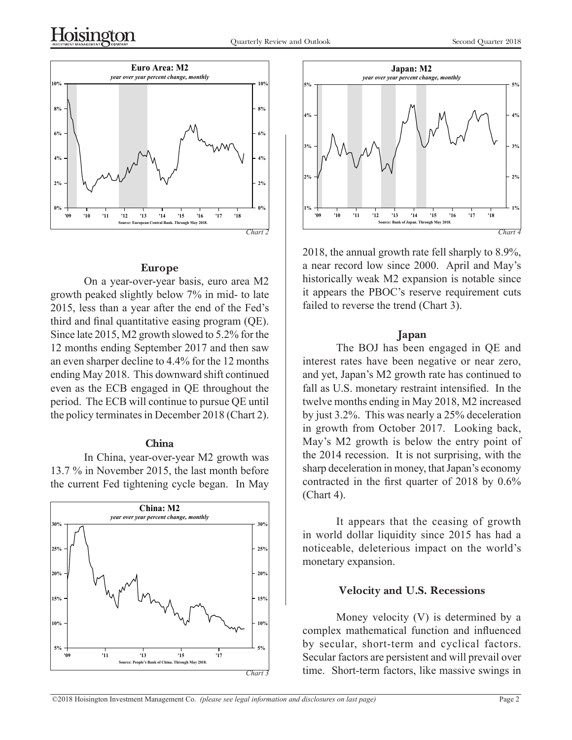

### **Europe**

On a year-over-year basis, euro area M2 growth peaked slightly below 7% in mid- to late 2015, less than a year after the end of the Fed's third and final quantitative easing program (QE). Since late 2015, M2 growth slowed to 5.2% for the 12 months ending September 2017 and then saw an even sharper decline to 4.4% for the 12 months ending May 2018. This downward shift continued even as the ECB engaged in QE throughout the period. The ECB will continue to pursue QE until the policy terminates in December 2018 (Chart 2).

#### **China**

In China, year-over-year M2 growth was 13.7 % in November 2015, the last month before the current Fed tightening cycle began. In May





2018, the annual growth rate fell sharply to 8.9%, a near record low since 2000. April and May's historically weak M2 expansion is notable since it appears the PBOC's reserve requirement cuts failed to reverse the trend (Chart 3).

### **Japan**

The BOJ has been engaged in QE and interest rates have been negative or near zero, and yet, Japan's M2 growth rate has continued to fall as U.S. monetary restraint intensified. In the twelve months ending in May 2018, M2 increased by just 3.2%. This was nearly a 25% deceleration in growth from October 2017. Looking back, May's M2 growth is below the entry point of the 2014 recession. It is not surprising, with the sharp deceleration in money, that Japan's economy contracted in the first quarter of 2018 by 0.6% (Chart 4).

It appears that the ceasing of growth in world dollar liquidity since 2015 has had a noticeable, deleterious impact on the world's monetary expansion.

#### **Velocity and U.S. Recessions**

Money velocity (V) is determined by a complex mathematical function and influenced by secular, short-term and cyclical factors. Secular factors are persistent and will prevail over time. Short-term factors, like massive swings in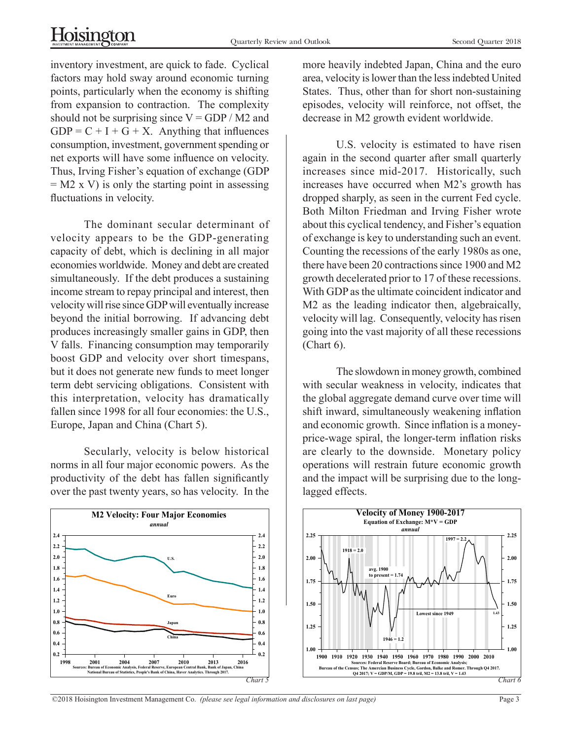inventory investment, are quick to fade. Cyclical factors may hold sway around economic turning points, particularly when the economy is shifting from expansion to contraction. The complexity should not be surprising since  $V = GDP / M2$  and  $GDP = C + I + G + X$ . Anything that influences consumption, investment, government spending or net exports will have some influence on velocity. Thus, Irving Fisher's equation of exchange (GDP  $=$  M2 x V) is only the starting point in assessing fluctuations in velocity.

The dominant secular determinant of velocity appears to be the GDP-generating capacity of debt, which is declining in all major economies worldwide. Money and debt are created simultaneously. If the debt produces a sustaining income stream to repay principal and interest, then velocity will rise since GDP will eventually increase beyond the initial borrowing. If advancing debt produces increasingly smaller gains in GDP, then V falls. Financing consumption may temporarily boost GDP and velocity over short timespans, but it does not generate new funds to meet longer term debt servicing obligations. Consistent with this interpretation, velocity has dramatically fallen since 1998 for all four economies: the U.S., Europe, Japan and China (Chart 5).

Secularly, velocity is below historical norms in all four major economic powers. As the productivity of the debt has fallen significantly over the past twenty years, so has velocity. In the more heavily indebted Japan, China and the euro area, velocity is lower than the less indebted United States. Thus, other than for short non-sustaining episodes, velocity will reinforce, not offset, the decrease in M2 growth evident worldwide.

U.S. velocity is estimated to have risen again in the second quarter after small quarterly increases since mid-2017. Historically, such increases have occurred when M2's growth has dropped sharply, as seen in the current Fed cycle. Both Milton Friedman and Irving Fisher wrote about this cyclical tendency, and Fisher's equation of exchange is key to understanding such an event. Counting the recessions of the early 1980s as one, there have been 20 contractions since 1900 and M2 growth decelerated prior to 17 of these recessions. With GDP as the ultimate coincident indicator and M2 as the leading indicator then, algebraically, velocity will lag. Consequently, velocity has risen going into the vast majority of all these recessions (Chart 6).

The slowdown in money growth, combined with secular weakness in velocity, indicates that the global aggregate demand curve over time will shift inward, simultaneously weakening inflation and economic growth. Since inflation is a moneyprice-wage spiral, the longer-term inflation risks are clearly to the downside. Monetary policy operations will restrain future economic growth and the impact will be surprising due to the longlagged effects.



©2018 Hoisington Investment Management Co. *(please see legal information and disclosures on last page)* Page 3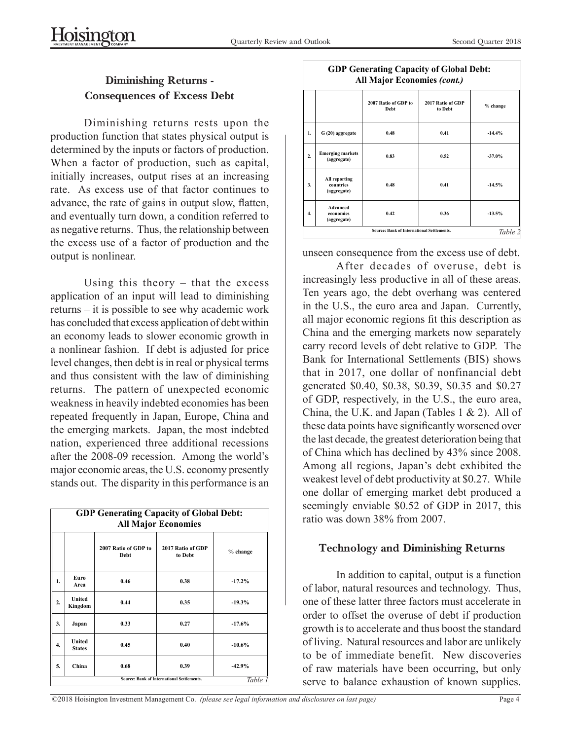## **Diminishing Returns - Consequences of Excess Debt**

Diminishing returns rests upon the production function that states physical output is determined by the inputs or factors of production. When a factor of production, such as capital, initially increases, output rises at an increasing rate. As excess use of that factor continues to advance, the rate of gains in output slow, flatten, and eventually turn down, a condition referred to as negative returns. Thus, the relationship between the excess use of a factor of production and the output is nonlinear.

Using this theory – that the excess application of an input will lead to diminishing returns – it is possible to see why academic work has concluded that excess application of debt within an economy leads to slower economic growth in a nonlinear fashion. If debt is adjusted for price level changes, then debt is in real or physical terms and thus consistent with the law of diminishing returns. The pattern of unexpected economic weakness in heavily indebted economies has been repeated frequently in Japan, Europe, China and the emerging markets. Japan, the most indebted nation, experienced three additional recessions after the 2008-09 recession. Among the world's major economic areas, the U.S. economy presently stands out. The disparity in this performance is an

|                  |                         | <b>GDP Generating Capacity of Global Debt:</b> | <b>All Major Economies</b>                        |          |
|------------------|-------------------------|------------------------------------------------|---------------------------------------------------|----------|
|                  |                         | 2007 Ratio of GDP to<br>Debt                   | 2017 Ratio of GDP<br>to Debt                      | % change |
| 1.               | Euro<br>Area            | 0.46                                           | 0.38                                              | $-17.2%$ |
| 2.               | United<br>Kingdom       | 0.44                                           | 0.35                                              | $-19.3%$ |
| 3.               | Japan                   | 0.33                                           | 0.27                                              | $-17.6%$ |
| $\overline{4}$ . | United<br><b>States</b> | 0.45                                           | 0.40                                              | $-10.6%$ |
| 5.               | China                   | 0.68                                           | 0.39                                              | $-42.9%$ |
|                  |                         |                                                | <b>Source: Bank of International Settlements.</b> | Table    |

|                |                                             | 2007 Ratio of GDP to<br>Debt | 2017 Ratio of GDP<br>to Debt | % change |
|----------------|---------------------------------------------|------------------------------|------------------------------|----------|
| $\mathbf{1}$ . | G (20) aggregate                            | 0.48                         | 0.41                         | $-14.4%$ |
| 2.             | <b>Emerging markets</b><br>(aggregate)      | 0.83                         | 0.52                         | $-37.0%$ |
| 3.             | All reporting<br>countries<br>(aggregate)   | 0.48                         | 0.41                         | $-14.5%$ |
| 4.             | <b>Advanced</b><br>economies<br>(aggregate) | 0.42                         | 0.36                         | $-13.5%$ |

**GDP Generating Capacity of Global Debt:** 

unseen consequence from the excess use of debt.

After decades of overuse, debt is increasingly less productive in all of these areas. Ten years ago, the debt overhang was centered in the U.S., the euro area and Japan. Currently, all major economic regions fit this description as China and the emerging markets now separately carry record levels of debt relative to GDP. The Bank for International Settlements (BIS) shows that in 2017, one dollar of nonfinancial debt generated \$0.40, \$0.38, \$0.39, \$0.35 and \$0.27 of GDP, respectively, in the U.S., the euro area, China, the U.K. and Japan (Tables  $1 \& 2$ ). All of these data points have significantly worsened over the last decade, the greatest deterioration being that of China which has declined by 43% since 2008. Among all regions, Japan's debt exhibited the weakest level of debt productivity at \$0.27. While one dollar of emerging market debt produced a seemingly enviable \$0.52 of GDP in 2017, this ratio was down 38% from 2007.

## **Technology and Diminishing Returns**

In addition to capital, output is a function of labor, natural resources and technology. Thus, one of these latter three factors must accelerate in order to offset the overuse of debt if production growth is to accelerate and thus boost the standard of living. Natural resources and labor are unlikely to be of immediate benefit. New discoveries of raw materials have been occurring, but only serve to balance exhaustion of known supplies.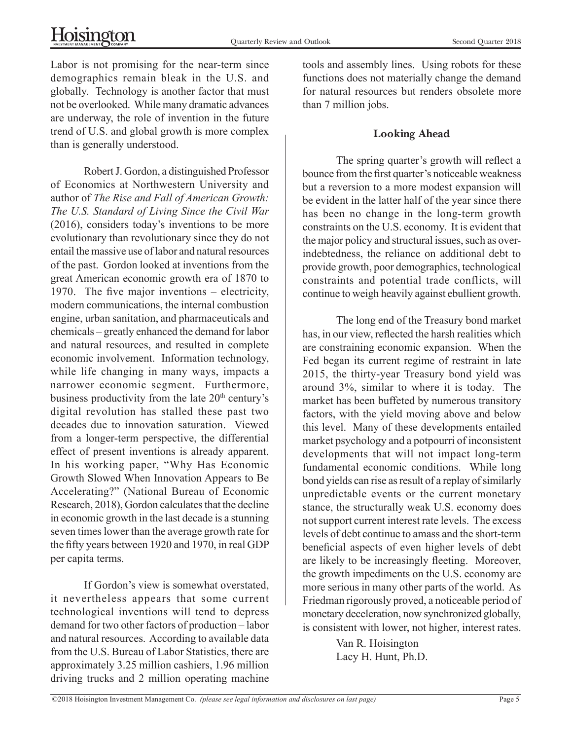Labor is not promising for the near-term since demographics remain bleak in the U.S. and globally. Technology is another factor that must not be overlooked. While many dramatic advances are underway, the role of invention in the future trend of U.S. and global growth is more complex than is generally understood.

Robert J. Gordon, a distinguished Professor of Economics at Northwestern University and author of *The Rise and Fall of American Growth: The U.S. Standard of Living Since the Civil War*  (2016), considers today's inventions to be more evolutionary than revolutionary since they do not entail the massive use of labor and natural resources of the past. Gordon looked at inventions from the great American economic growth era of 1870 to 1970. The five major inventions – electricity, modern communications, the internal combustion engine, urban sanitation, and pharmaceuticals and chemicals – greatly enhanced the demand for labor and natural resources, and resulted in complete economic involvement. Information technology, while life changing in many ways, impacts a narrower economic segment. Furthermore, business productivity from the late  $20<sup>th</sup>$  century's digital revolution has stalled these past two decades due to innovation saturation. Viewed from a longer-term perspective, the differential effect of present inventions is already apparent. In his working paper, "Why Has Economic Growth Slowed When Innovation Appears to Be Accelerating?" (National Bureau of Economic Research, 2018), Gordon calculates that the decline in economic growth in the last decade is a stunning seven times lower than the average growth rate for the fifty years between 1920 and 1970, in real GDP per capita terms.

If Gordon's view is somewhat overstated, it nevertheless appears that some current technological inventions will tend to depress demand for two other factors of production – labor and natural resources. According to available data from the U.S. Bureau of Labor Statistics, there are approximately 3.25 million cashiers, 1.96 million driving trucks and 2 million operating machine tools and assembly lines. Using robots for these functions does not materially change the demand for natural resources but renders obsolete more than 7 million jobs.

## **Looking Ahead**

The spring quarter's growth will reflect a bounce from the first quarter's noticeable weakness but a reversion to a more modest expansion will be evident in the latter half of the year since there has been no change in the long-term growth constraints on the U.S. economy. It is evident that the major policy and structural issues, such as overindebtedness, the reliance on additional debt to provide growth, poor demographics, technological constraints and potential trade conflicts, will continue to weigh heavily against ebullient growth.

The long end of the Treasury bond market has, in our view, reflected the harsh realities which are constraining economic expansion. When the Fed began its current regime of restraint in late 2015, the thirty-year Treasury bond yield was around 3%, similar to where it is today. The market has been buffeted by numerous transitory factors, with the yield moving above and below this level. Many of these developments entailed market psychology and a potpourri of inconsistent developments that will not impact long-term fundamental economic conditions. While long bond yields can rise as result of a replay of similarly unpredictable events or the current monetary stance, the structurally weak U.S. economy does not support current interest rate levels. The excess levels of debt continue to amass and the short-term beneficial aspects of even higher levels of debt are likely to be increasingly fleeting. Moreover, the growth impediments on the U.S. economy are more serious in many other parts of the world. As Friedman rigorously proved, a noticeable period of monetary deceleration, now synchronized globally, is consistent with lower, not higher, interest rates.

> Van R. Hoisington Lacy H. Hunt, Ph.D.